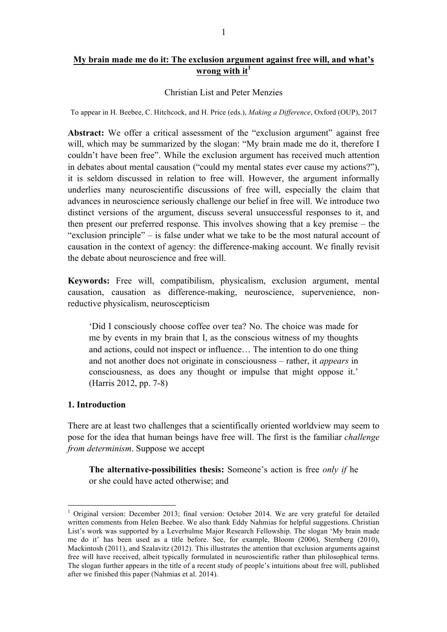# **My brain made me do it: The exclusion argument against free will, and what's wrong with it<sup>1</sup>**

#### Christian List and Peter Menzies

To appear in H. Beebee, C. Hitchcock, and H. Price (eds.), *Making a Difference*, Oxford (OUP), 2017

**Abstract:** We offer a critical assessment of the "exclusion argument" against free will, which may be summarized by the slogan: "My brain made me do it, therefore I couldn't have been free". While the exclusion argument has received much attention in debates about mental causation ("could my mental states ever cause my actions?"), it is seldom discussed in relation to free will. However, the argument informally underlies many neuroscientific discussions of free will, especially the claim that advances in neuroscience seriously challenge our belief in free will. We introduce two distinct versions of the argument, discuss several unsuccessful responses to it, and then present our preferred response. This involves showing that a key premise – the "exclusion principle" – is false under what we take to be the most natural account of causation in the context of agency: the difference-making account. We finally revisit the debate about neuroscience and free will.

**Keywords:** Free will, compatibilism, physicalism, exclusion argument, mental causation, causation as difference-making, neuroscience, supervenience, nonreductive physicalism, neuroscepticism

'Did I consciously choose coffee over tea? No. The choice was made for me by events in my brain that I, as the conscious witness of my thoughts and actions, could not inspect or influence… The intention to do one thing and not another does not originate in consciousness – rather, it *appears* in consciousness, as does any thought or impulse that might oppose it.' (Harris 2012, pp. 7-8)

### **1. Introduction**

There are at least two challenges that a scientifically oriented worldview may seem to pose for the idea that human beings have free will. The first is the familiar *challenge from determinism*. Suppose we accept

**The alternative-possibilities thesis:** Someone's action is free *only if* he or she could have acted otherwise; and

<sup>&</sup>lt;sup>1</sup> Original version: December 2013; final version: October 2014. We are very grateful for detailed written comments from Helen Beebee. We also thank Eddy Nahmias for helpful suggestions. Christian List's work was supported by a Leverhulme Major Research Fellowship. The slogan 'My brain made me do it' has been used as a title before. See, for example, Bloom (2006), Sternberg (2010), Mackintosh (2011), and Szalavitz (2012). This illustrates the attention that exclusion arguments against free will have received, albeit typically formulated in neuroscientific rather than philosophical terms. The slogan further appears in the title of a recent study of people's intuitions about free will, published after we finished this paper (Nahmias et al. 2014).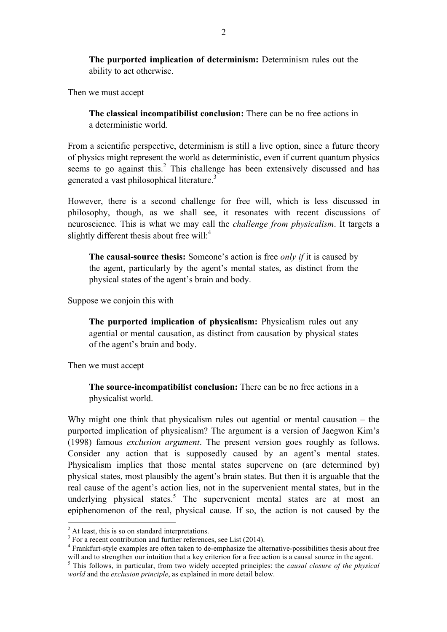**The purported implication of determinism:** Determinism rules out the ability to act otherwise.

Then we must accept

**The classical incompatibilist conclusion:** There can be no free actions in a deterministic world.

From a scientific perspective, determinism is still a live option, since a future theory of physics might represent the world as deterministic, even if current quantum physics seems to go against this. $2$  This challenge has been extensively discussed and has generated a vast philosophical literature.<sup>3</sup>

However, there is a second challenge for free will, which is less discussed in philosophy, though, as we shall see, it resonates with recent discussions of neuroscience. This is what we may call the *challenge from physicalism*. It targets a slightly different thesis about free will:<sup>4</sup>

**The causal-source thesis:** Someone's action is free *only if* it is caused by the agent, particularly by the agent's mental states, as distinct from the physical states of the agent's brain and body.

Suppose we conjoin this with

**The purported implication of physicalism:** Physicalism rules out any agential or mental causation, as distinct from causation by physical states of the agent's brain and body.

Then we must accept

**The source-incompatibilist conclusion:** There can be no free actions in a physicalist world.

Why might one think that physicalism rules out agential or mental causation – the purported implication of physicalism? The argument is a version of Jaegwon Kim's (1998) famous *exclusion argument*. The present version goes roughly as follows. Consider any action that is supposedly caused by an agent's mental states. Physicalism implies that those mental states supervene on (are determined by) physical states, most plausibly the agent's brain states. But then it is arguable that the real cause of the agent's action lies, not in the supervenient mental states, but in the underlying physical states.<sup>5</sup> The supervenient mental states are at most an epiphenomenon of the real, physical cause. If so, the action is not caused by the

 $\frac{2}{3}$  At least, this is so on standard interpretations.<br> $\frac{3}{3}$  For a recent contribution and further references, see List (2014).

<sup>&</sup>lt;sup>4</sup> Frankfurt-style examples are often taken to de-emphasize the alternative-possibilities thesis about free will and to strengthen our intuition that a key criterion for a free action is a causal source in the agent.

 $\delta$  This follows, in particular, from two widely accepted principles: the *causal closure of the physical world* and the *exclusion principle*, as explained in more detail below.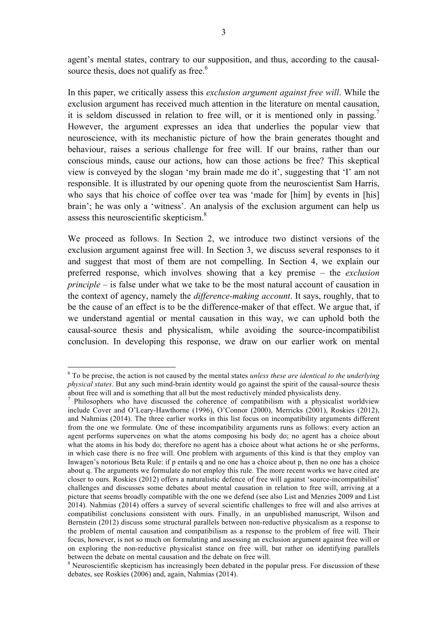agent's mental states, contrary to our supposition, and thus, according to the causalsource thesis, does not qualify as free.<sup> $6$ </sup>

In this paper, we critically assess this *exclusion argument against free will*. While the exclusion argument has received much attention in the literature on mental causation, it is seldom discussed in relation to free will, or it is mentioned only in passing.<sup>7</sup> However, the argument expresses an idea that underlies the popular view that neuroscience, with its mechanistic picture of how the brain generates thought and behaviour, raises a serious challenge for free will. If our brains, rather than our conscious minds, cause our actions, how can those actions be free? This skeptical view is conveyed by the slogan 'my brain made me do it', suggesting that 'I' am not responsible. It is illustrated by our opening quote from the neuroscientist Sam Harris, who says that his choice of coffee over tea was 'made for [him] by events in [his] brain'; he was only a 'witness'. An analysis of the exclusion argument can help us assess this neuroscientific skepticism.<sup>8</sup>

We proceed as follows. In Section 2, we introduce two distinct versions of the exclusion argument against free will. In Section 3, we discuss several responses to it and suggest that most of them are not compelling. In Section 4, we explain our preferred response, which involves showing that a key premise – the *exclusion principle* – is false under what we take to be the most natural account of causation in the context of agency, namely the *difference-making account*. It says, roughly, that to be the cause of an effect is to be the difference-maker of that effect. We argue that, if we understand agential or mental causation in this way, we can uphold both the causal-source thesis and physicalism, while avoiding the source-incompatibilist conclusion. In developing this response, we draw on our earlier work on mental

 <sup>6</sup> To be precise, the action is not caused by the mental states *unless these are identical to the underlying physical states*. But any such mind-brain identity would go against the spirit of the causal-source thesis about free will and is something that all but the most reductively minded physicalists deny.<br><sup>7</sup> Philosophers who have discussed the coherence of compatibilism with a physicalist worldview

include Cover and O'Leary-Hawthorne (1996), O'Connor (2000), Merricks (2001), Roskies (2012), and Nahmias (2014). The three earlier works in this list focus on incompatibility arguments different from the one we formulate. One of these incompatibility arguments runs as follows: every action an agent performs supervenes on what the atoms composing his body do; no agent has a choice about what the atoms in his body do; therefore no agent has a choice about what actions he or she performs, in which case there is no free will. One problem with arguments of this kind is that they employ van Inwagen's notorious Beta Rule: if p entails q and no one has a choice about p, then no one has a choice about q. The arguments we formulate do not employ this rule. The more recent works we have cited are closer to ours. Roskies (2012) offers a naturalistic defence of free will against 'source-incompatibilist' challenges and discusses some debates about mental causation in relation to free will, arriving at a picture that seems broadly compatible with the one we defend (see also List and Menzies 2009 and List 2014). Nahmias (2014) offers a survey of several scientific challenges to free will and also arrives at compatibilist conclusions consistent with ours. Finally, in an unpublished manuscript, Wilson and Bernstein (2012) discuss some structural parallels between non-reductive physicalism as a response to the problem of mental causation and compatibilism as a response to the problem of free will. Their focus, however, is not so much on formulating and assessing an exclusion argument against free will or on exploring the non-reductive physicalist stance on free will, but rather on identifying parallels between the debate on mental causation and the debate on free will.

<sup>&</sup>lt;sup>8</sup> Neuroscientific skepticism has increasingly been debated in the popular press. For discussion of these debates, see Roskies (2006) and, again, Nahmias (2014).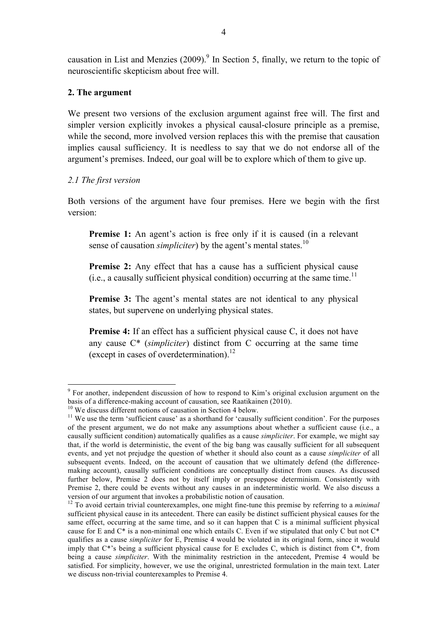causation in List and Menzies  $(2009)$ .<sup>9</sup> In Section 5, finally, we return to the topic of neuroscientific skepticism about free will.

## **2. The argument**

We present two versions of the exclusion argument against free will. The first and simpler version explicitly invokes a physical causal-closure principle as a premise, while the second, more involved version replaces this with the premise that causation implies causal sufficiency. It is needless to say that we do not endorse all of the argument's premises. Indeed, our goal will be to explore which of them to give up.

## *2.1 The first version*

Both versions of the argument have four premises. Here we begin with the first version:

**Premise 1:** An agent's action is free only if it is caused (in a relevant sense of causation *simpliciter*) by the agent's mental states.<sup>10</sup>

**Premise 2:** Any effect that has a cause has a sufficient physical cause  $(i.e., a causally sufficient physical condition) occurring at the same time.<sup>11</sup>$ 

**Premise 3:** The agent's mental states are not identical to any physical states, but supervene on underlying physical states.

**Premise 4:** If an effect has a sufficient physical cause C, it does not have any cause C\* (*simpliciter*) distinct from C occurring at the same time (except in cases of overdetermination).<sup>12</sup>

 $9$  For another, independent discussion of how to respond to Kim's original exclusion argument on the basis of a difference-making account of causation, see Raatikainen (2010).

<sup>&</sup>lt;sup>10</sup> We discuss different notions of causation in Section 4 below.<br><sup>11</sup> We use the term 'sufficient cause' as a shorthand for 'causally sufficient condition'. For the purposes of the present argument, we do not make any assumptions about whether a sufficient cause (i.e., a causally sufficient condition) automatically qualifies as a cause *simpliciter*. For example, we might say that, if the world is deterministic, the event of the big bang was causally sufficient for all subsequent events, and yet not prejudge the question of whether it should also count as a cause *simpliciter* of all subsequent events. Indeed, on the account of causation that we ultimately defend (the differencemaking account), causally sufficient conditions are conceptually distinct from causes. As discussed further below, Premise 2 does not by itself imply or presuppose determinism. Consistently with Premise 2, there could be events without any causes in an indeterministic world. We also discuss a version of our argument that invokes a probabilistic notion of causation. <sup>12</sup> To avoid certain trivial counterexamples, one might fine-tune this premise by referring to a *minimal*

sufficient physical cause in its antecedent. There can easily be distinct sufficient physical causes for the same effect, occurring at the same time, and so it can happen that C is a minimal sufficient physical cause for E and C\* is a non-minimal one which entails C. Even if we stipulated that only C but not C\* qualifies as a cause *simpliciter* for E, Premise 4 would be violated in its original form, since it would imply that C\*'s being a sufficient physical cause for E excludes C, which is distinct from C\*, from being a cause *simpliciter*. With the minimality restriction in the antecedent, Premise 4 would be satisfied. For simplicity, however, we use the original, unrestricted formulation in the main text. Later we discuss non-trivial counterexamples to Premise 4.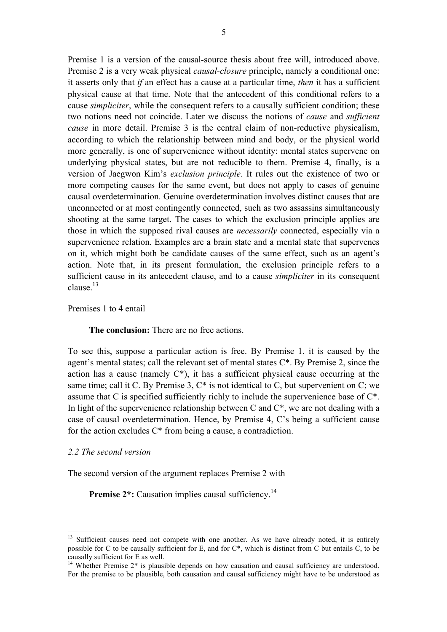Premise 1 is a version of the causal-source thesis about free will, introduced above. Premise 2 is a very weak physical *causal-closure* principle, namely a conditional one: it asserts only that *if* an effect has a cause at a particular time, *then* it has a sufficient physical cause at that time. Note that the antecedent of this conditional refers to a cause *simpliciter*, while the consequent refers to a causally sufficient condition; these two notions need not coincide. Later we discuss the notions of *cause* and *sufficient cause* in more detail. Premise 3 is the central claim of non-reductive physicalism, according to which the relationship between mind and body, or the physical world more generally, is one of supervenience without identity: mental states supervene on underlying physical states, but are not reducible to them. Premise 4, finally, is a version of Jaegwon Kim's *exclusion principle*. It rules out the existence of two or more competing causes for the same event, but does not apply to cases of genuine causal overdetermination. Genuine overdetermination involves distinct causes that are unconnected or at most contingently connected, such as two assassins simultaneously shooting at the same target. The cases to which the exclusion principle applies are those in which the supposed rival causes are *necessarily* connected, especially via a supervenience relation. Examples are a brain state and a mental state that supervenes on it, which might both be candidate causes of the same effect, such as an agent's action. Note that, in its present formulation, the exclusion principle refers to a sufficient cause in its antecedent clause, and to a cause *simpliciter* in its consequent clause. 13

#### Premises 1 to 4 entail

**The conclusion:** There are no free actions.

To see this, suppose a particular action is free. By Premise 1, it is caused by the agent's mental states; call the relevant set of mental states  $C^*$ . By Premise 2, since the action has a cause (namely  $C^*$ ), it has a sufficient physical cause occurring at the same time; call it C. By Premise 3,  $C^*$  is not identical to C, but supervenient on C; we assume that C is specified sufficiently richly to include the supervenience base of  $C^*$ . In light of the supervenience relationship between C and  $C^*$ , we are not dealing with a case of causal overdetermination. Hence, by Premise 4, C's being a sufficient cause for the action excludes  $C^*$  from being a cause, a contradiction.

#### *2.2 The second version*

The second version of the argument replaces Premise 2 with

Premise 2<sup>\*</sup>: Causation implies causal sufficiency.<sup>14</sup>

<sup>&</sup>lt;sup>13</sup> Sufficient causes need not compete with one another. As we have already noted, it is entirely possible for C to be causally sufficient for E, and for C\*, which is distinct from C but entails C, to be causally sufficient for E as well.<br><sup>14</sup> Whether Premise 2<sup>\*</sup> is plausible depends on how causation and causal sufficiency are understood.

For the premise to be plausible, both causation and causal sufficiency might have to be understood as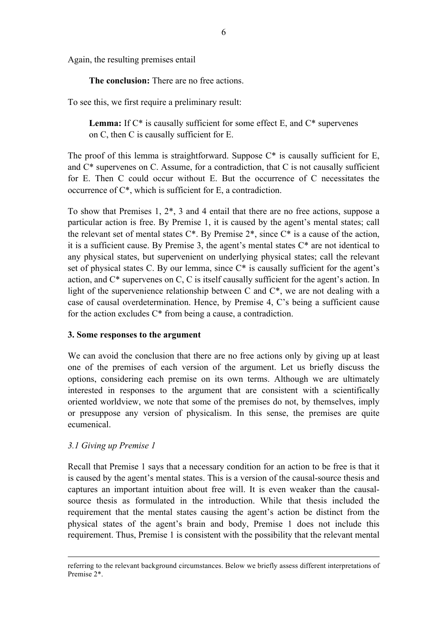Again, the resulting premises entail

**The conclusion:** There are no free actions.

To see this, we first require a preliminary result:

Lemma: If  $C^*$  is causally sufficient for some effect E, and  $C^*$  supervenes on C, then C is causally sufficient for E.

The proof of this lemma is straightforward. Suppose  $C^*$  is causally sufficient for E, and  $C^*$  supervenes on C. Assume, for a contradiction, that C is not causally sufficient for E. Then C could occur without E. But the occurrence of C necessitates the occurrence of C\*, which is sufficient for E, a contradiction.

To show that Premises 1, 2\*, 3 and 4 entail that there are no free actions, suppose a particular action is free. By Premise 1, it is caused by the agent's mental states; call the relevant set of mental states  $C^*$ . By Premise  $2^*$ , since  $C^*$  is a cause of the action, it is a sufficient cause. By Premise 3, the agent's mental states C\* are not identical to any physical states, but supervenient on underlying physical states; call the relevant set of physical states C. By our lemma, since  $C^*$  is causally sufficient for the agent's action, and C\* supervenes on C, C is itself causally sufficient for the agent's action. In light of the supervenience relationship between C and C\*, we are not dealing with a case of causal overdetermination. Hence, by Premise 4, C's being a sufficient cause for the action excludes  $C^*$  from being a cause, a contradiction.

# **3. Some responses to the argument**

We can avoid the conclusion that there are no free actions only by giving up at least one of the premises of each version of the argument. Let us briefly discuss the options, considering each premise on its own terms. Although we are ultimately interested in responses to the argument that are consistent with a scientifically oriented worldview, we note that some of the premises do not, by themselves, imply or presuppose any version of physicalism. In this sense, the premises are quite ecumenical.

# *3.1 Giving up Premise 1*

Recall that Premise 1 says that a necessary condition for an action to be free is that it is caused by the agent's mental states. This is a version of the causal-source thesis and captures an important intuition about free will. It is even weaker than the causalsource thesis as formulated in the introduction. While that thesis included the requirement that the mental states causing the agent's action be distinct from the physical states of the agent's brain and body, Premise 1 does not include this requirement. Thus, Premise 1 is consistent with the possibility that the relevant mental

referring to the relevant background circumstances. Below we briefly assess different interpretations of Premise 2\*.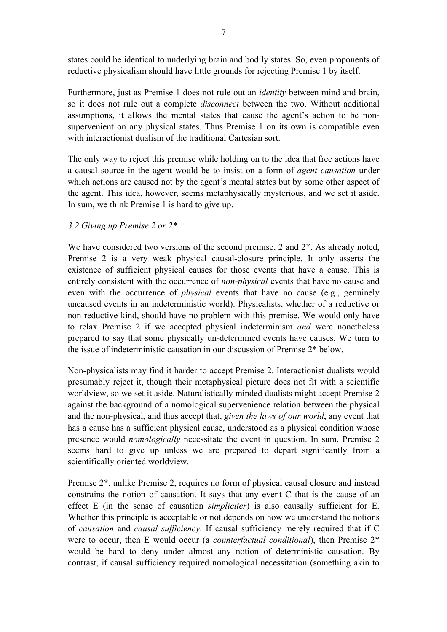states could be identical to underlying brain and bodily states. So, even proponents of reductive physicalism should have little grounds for rejecting Premise 1 by itself.

Furthermore, just as Premise 1 does not rule out an *identity* between mind and brain, so it does not rule out a complete *disconnect* between the two. Without additional assumptions, it allows the mental states that cause the agent's action to be nonsupervenient on any physical states. Thus Premise 1 on its own is compatible even with interactionist dualism of the traditional Cartesian sort.

The only way to reject this premise while holding on to the idea that free actions have a causal source in the agent would be to insist on a form of *agent causation* under which actions are caused not by the agent's mental states but by some other aspect of the agent. This idea, however, seems metaphysically mysterious, and we set it aside. In sum, we think Premise 1 is hard to give up.

# *3.2 Giving up Premise 2 or 2\**

We have considered two versions of the second premise, 2 and  $2^*$ . As already noted, Premise 2 is a very weak physical causal-closure principle. It only asserts the existence of sufficient physical causes for those events that have a cause. This is entirely consistent with the occurrence of *non-physical* events that have no cause and even with the occurrence of *physical* events that have no cause (e.g., genuinely uncaused events in an indeterministic world). Physicalists, whether of a reductive or non-reductive kind, should have no problem with this premise. We would only have to relax Premise 2 if we accepted physical indeterminism *and* were nonetheless prepared to say that some physically un-determined events have causes. We turn to the issue of indeterministic causation in our discussion of Premise 2\* below.

Non-physicalists may find it harder to accept Premise 2. Interactionist dualists would presumably reject it, though their metaphysical picture does not fit with a scientific worldview, so we set it aside. Naturalistically minded dualists might accept Premise 2 against the background of a nomological supervenience relation between the physical and the non-physical, and thus accept that, *given the laws of our world*, any event that has a cause has a sufficient physical cause, understood as a physical condition whose presence would *nomologically* necessitate the event in question. In sum, Premise 2 seems hard to give up unless we are prepared to depart significantly from a scientifically oriented worldview.

Premise 2\*, unlike Premise 2, requires no form of physical causal closure and instead constrains the notion of causation. It says that any event C that is the cause of an effect E (in the sense of causation *simpliciter*) is also causally sufficient for E. Whether this principle is acceptable or not depends on how we understand the notions of *causation* and *causal sufficiency*. If causal sufficiency merely required that if C were to occur, then E would occur (a *counterfactual conditional*), then Premise 2\* would be hard to deny under almost any notion of deterministic causation. By contrast, if causal sufficiency required nomological necessitation (something akin to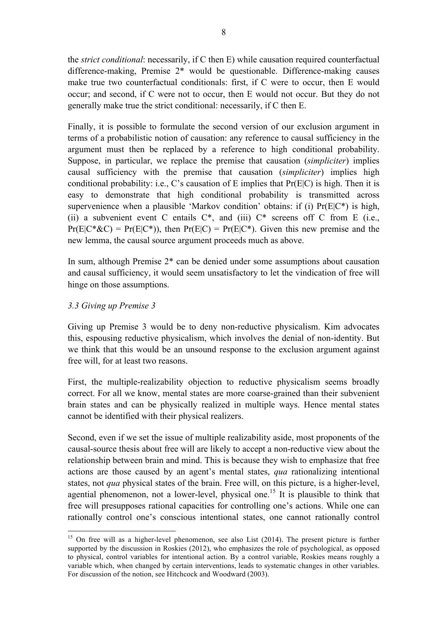the *strict conditional*: necessarily, if C then E) while causation required counterfactual difference-making, Premise 2\* would be questionable. Difference-making causes make true two counterfactual conditionals: first, if C were to occur, then E would occur; and second, if C were not to occur, then E would not occur. But they do not generally make true the strict conditional: necessarily, if C then E.

Finally, it is possible to formulate the second version of our exclusion argument in terms of a probabilistic notion of causation: any reference to causal sufficiency in the argument must then be replaced by a reference to high conditional probability. Suppose, in particular, we replace the premise that causation (*simpliciter*) implies causal sufficiency with the premise that causation (*simpliciter*) implies high conditional probability: i.e., C's causation of E implies that  $Pr(E|C)$  is high. Then it is easy to demonstrate that high conditional probability is transmitted across supervenience when a plausible 'Markov condition' obtains: if (i)  $Pr(E|C^*)$  is high, (ii) a subvenient event C entails  $C^*$ , and (iii)  $C^*$  screens off C from E (i.e.,  $Pr(E|C^*\&C) = Pr(E|C^*))$ , then  $Pr(E|C) = Pr(E|C^*)$ . Given this new premise and the new lemma, the causal source argument proceeds much as above.

In sum, although Premise 2\* can be denied under some assumptions about causation and causal sufficiency, it would seem unsatisfactory to let the vindication of free will hinge on those assumptions.

# *3.3 Giving up Premise 3*

Giving up Premise 3 would be to deny non-reductive physicalism. Kim advocates this, espousing reductive physicalism, which involves the denial of non-identity. But we think that this would be an unsound response to the exclusion argument against free will, for at least two reasons.

First, the multiple-realizability objection to reductive physicalism seems broadly correct. For all we know, mental states are more coarse-grained than their subvenient brain states and can be physically realized in multiple ways. Hence mental states cannot be identified with their physical realizers.

Second, even if we set the issue of multiple realizability aside, most proponents of the causal-source thesis about free will are likely to accept a non-reductive view about the relationship between brain and mind. This is because they wish to emphasize that free actions are those caused by an agent's mental states, *qua* rationalizing intentional states, not *qua* physical states of the brain. Free will, on this picture, is a higher-level, agential phenomenon, not a lower-level, physical one.<sup>15</sup> It is plausible to think that free will presupposes rational capacities for controlling one's actions. While one can rationally control one's conscious intentional states, one cannot rationally control

 $15$  On free will as a higher-level phenomenon, see also List (2014). The present picture is further supported by the discussion in Roskies (2012), who emphasizes the role of psychological, as opposed to physical, control variables for intentional action. By a control variable, Roskies means roughly a variable which, when changed by certain interventions, leads to systematic changes in other variables. For discussion of the notion, see Hitchcock and Woodward (2003).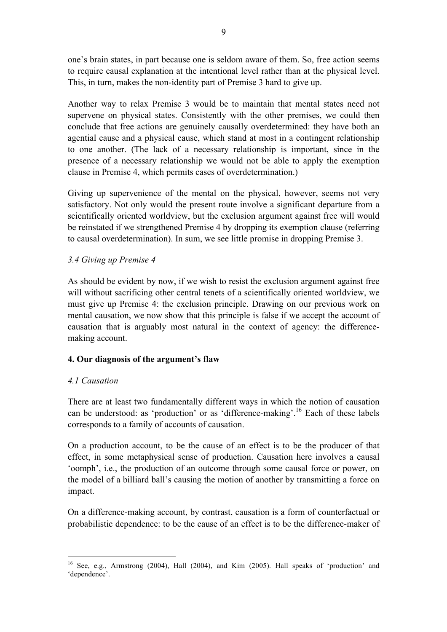one's brain states, in part because one is seldom aware of them. So, free action seems to require causal explanation at the intentional level rather than at the physical level. This, in turn, makes the non-identity part of Premise 3 hard to give up.

Another way to relax Premise 3 would be to maintain that mental states need not supervene on physical states. Consistently with the other premises, we could then conclude that free actions are genuinely causally overdetermined: they have both an agential cause and a physical cause, which stand at most in a contingent relationship to one another. (The lack of a necessary relationship is important, since in the presence of a necessary relationship we would not be able to apply the exemption clause in Premise 4, which permits cases of overdetermination.)

Giving up supervenience of the mental on the physical, however, seems not very satisfactory. Not only would the present route involve a significant departure from a scientifically oriented worldview, but the exclusion argument against free will would be reinstated if we strengthened Premise 4 by dropping its exemption clause (referring to causal overdetermination). In sum, we see little promise in dropping Premise 3.

## *3.4 Giving up Premise 4*

As should be evident by now, if we wish to resist the exclusion argument against free will without sacrificing other central tenets of a scientifically oriented worldview, we must give up Premise 4: the exclusion principle. Drawing on our previous work on mental causation, we now show that this principle is false if we accept the account of causation that is arguably most natural in the context of agency: the differencemaking account.

# **4. Our diagnosis of the argument's flaw**

# *4.1 Causation*

There are at least two fundamentally different ways in which the notion of causation can be understood: as 'production' or as 'difference-making'. <sup>16</sup> Each of these labels corresponds to a family of accounts of causation.

On a production account, to be the cause of an effect is to be the producer of that effect, in some metaphysical sense of production. Causation here involves a causal 'oomph', i.e., the production of an outcome through some causal force or power, on the model of a billiard ball's causing the motion of another by transmitting a force on impact.

On a difference-making account, by contrast, causation is a form of counterfactual or probabilistic dependence: to be the cause of an effect is to be the difference-maker of

 <sup>16</sup> See, e.g., Armstrong (2004), Hall (2004), and Kim (2005). Hall speaks of 'production' and 'dependence'.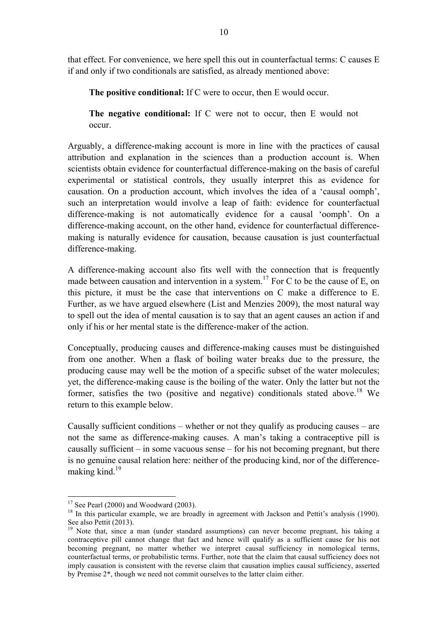that effect. For convenience, we here spell this out in counterfactual terms: C causes E if and only if two conditionals are satisfied, as already mentioned above:

**The positive conditional:** If C were to occur, then E would occur.

**The negative conditional:** If C were not to occur, then E would not occur.

Arguably, a difference-making account is more in line with the practices of causal attribution and explanation in the sciences than a production account is. When scientists obtain evidence for counterfactual difference-making on the basis of careful experimental or statistical controls, they usually interpret this as evidence for causation. On a production account, which involves the idea of a 'causal oomph', such an interpretation would involve a leap of faith: evidence for counterfactual difference-making is not automatically evidence for a causal 'oomph'. On a difference-making account, on the other hand, evidence for counterfactual differencemaking is naturally evidence for causation, because causation is just counterfactual difference-making.

A difference-making account also fits well with the connection that is frequently made between causation and intervention in a system.<sup>17</sup> For C to be the cause of E, on this picture, it must be the case that interventions on C make a difference to E. Further, as we have argued elsewhere (List and Menzies 2009), the most natural way to spell out the idea of mental causation is to say that an agent causes an action if and only if his or her mental state is the difference-maker of the action.

Conceptually, producing causes and difference-making causes must be distinguished from one another. When a flask of boiling water breaks due to the pressure, the producing cause may well be the motion of a specific subset of the water molecules; yet, the difference-making cause is the boiling of the water. Only the latter but not the former, satisfies the two (positive and negative) conditionals stated above.<sup>18</sup> We return to this example below.

Causally sufficient conditions – whether or not they qualify as producing causes – are not the same as difference-making causes. A man's taking a contraceptive pill is causally sufficient – in some vacuous sense – for his not becoming pregnant, but there is no genuine causal relation here: neither of the producing kind, nor of the differencemaking kind. 19

<sup>&</sup>lt;sup>17</sup> See Pearl (2000) and Woodward (2003).<br><sup>18</sup> In this particular example, we are broadly in agreement with Jackson and Pettit's analysis (1990). See also Pettit (2013).

<sup>&</sup>lt;sup>19</sup> Note that, since a man (under standard assumptions) can never become pregnant, his taking a contraceptive pill cannot change that fact and hence will qualify as a sufficient cause for his not becoming pregnant, no matter whether we interpret causal sufficiency in nomological terms, counterfactual terms, or probabilistic terms. Further, note that the claim that causal sufficiency does not imply causation is consistent with the reverse claim that causation implies causal sufficiency, asserted by Premise 2\*, though we need not commit ourselves to the latter claim either.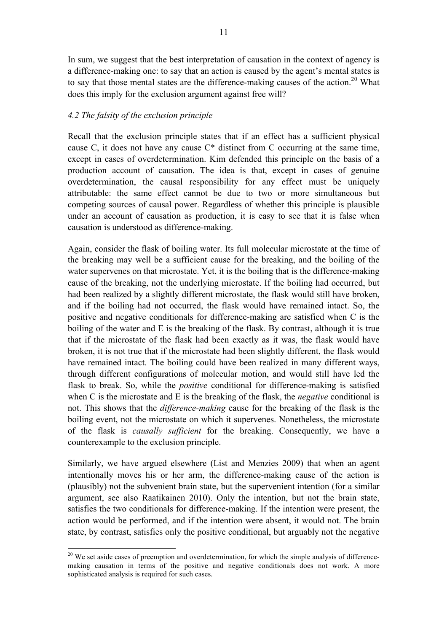In sum, we suggest that the best interpretation of causation in the context of agency is a difference-making one: to say that an action is caused by the agent's mental states is to say that those mental states are the difference-making causes of the action.<sup>20</sup> What does this imply for the exclusion argument against free will?

## *4.2 The falsity of the exclusion principle*

Recall that the exclusion principle states that if an effect has a sufficient physical cause C, it does not have any cause  $C^*$  distinct from C occurring at the same time, except in cases of overdetermination. Kim defended this principle on the basis of a production account of causation. The idea is that, except in cases of genuine overdetermination, the causal responsibility for any effect must be uniquely attributable: the same effect cannot be due to two or more simultaneous but competing sources of causal power. Regardless of whether this principle is plausible under an account of causation as production, it is easy to see that it is false when causation is understood as difference-making.

Again, consider the flask of boiling water. Its full molecular microstate at the time of the breaking may well be a sufficient cause for the breaking, and the boiling of the water supervenes on that microstate. Yet, it is the boiling that is the difference-making cause of the breaking, not the underlying microstate. If the boiling had occurred, but had been realized by a slightly different microstate, the flask would still have broken, and if the boiling had not occurred, the flask would have remained intact. So, the positive and negative conditionals for difference-making are satisfied when C is the boiling of the water and E is the breaking of the flask. By contrast, although it is true that if the microstate of the flask had been exactly as it was, the flask would have broken, it is not true that if the microstate had been slightly different, the flask would have remained intact. The boiling could have been realized in many different ways, through different configurations of molecular motion, and would still have led the flask to break. So, while the *positive* conditional for difference-making is satisfied when C is the microstate and E is the breaking of the flask, the *negative* conditional is not. This shows that the *difference-making* cause for the breaking of the flask is the boiling event, not the microstate on which it supervenes. Nonetheless, the microstate of the flask is *causally sufficient* for the breaking. Consequently, we have a counterexample to the exclusion principle.

Similarly, we have argued elsewhere (List and Menzies 2009) that when an agent intentionally moves his or her arm, the difference-making cause of the action is (plausibly) not the subvenient brain state, but the supervenient intention (for a similar argument, see also Raatikainen 2010). Only the intention, but not the brain state, satisfies the two conditionals for difference-making. If the intention were present, the action would be performed, and if the intention were absent, it would not. The brain state, by contrast, satisfies only the positive conditional, but arguably not the negative

 $20$  We set aside cases of preemption and overdetermination, for which the simple analysis of differencemaking causation in terms of the positive and negative conditionals does not work. A more sophisticated analysis is required for such cases.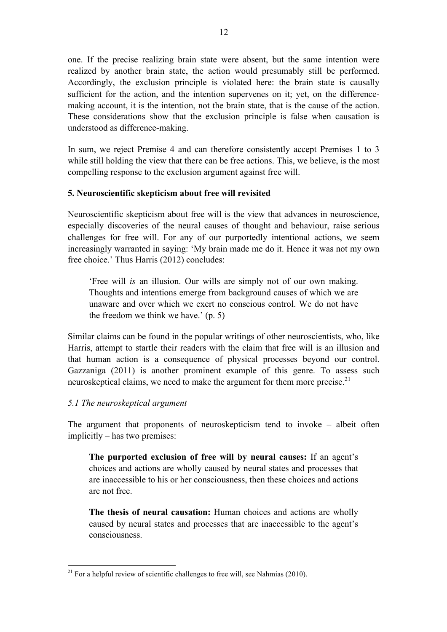one. If the precise realizing brain state were absent, but the same intention were realized by another brain state, the action would presumably still be performed. Accordingly, the exclusion principle is violated here: the brain state is causally sufficient for the action, and the intention supervenes on it; yet, on the differencemaking account, it is the intention, not the brain state, that is the cause of the action. These considerations show that the exclusion principle is false when causation is understood as difference-making.

In sum, we reject Premise 4 and can therefore consistently accept Premises 1 to 3 while still holding the view that there can be free actions. This, we believe, is the most compelling response to the exclusion argument against free will.

## **5. Neuroscientific skepticism about free will revisited**

Neuroscientific skepticism about free will is the view that advances in neuroscience, especially discoveries of the neural causes of thought and behaviour, raise serious challenges for free will. For any of our purportedly intentional actions, we seem increasingly warranted in saying: 'My brain made me do it. Hence it was not my own free choice.' Thus Harris (2012) concludes:

'Free will *is* an illusion. Our wills are simply not of our own making. Thoughts and intentions emerge from background causes of which we are unaware and over which we exert no conscious control. We do not have the freedom we think we have.' (p. 5)

Similar claims can be found in the popular writings of other neuroscientists, who, like Harris, attempt to startle their readers with the claim that free will is an illusion and that human action is a consequence of physical processes beyond our control. Gazzaniga (2011) is another prominent example of this genre. To assess such neuroskeptical claims, we need to make the argument for them more precise.<sup>21</sup>

# *5.1 The neuroskeptical argument*

The argument that proponents of neuroskepticism tend to invoke – albeit often implicitly – has two premises:

**The purported exclusion of free will by neural causes:** If an agent's choices and actions are wholly caused by neural states and processes that are inaccessible to his or her consciousness, then these choices and actions are not free.

**The thesis of neural causation:** Human choices and actions are wholly caused by neural states and processes that are inaccessible to the agent's consciousness.

 $21$  For a helpful review of scientific challenges to free will, see Nahmias (2010).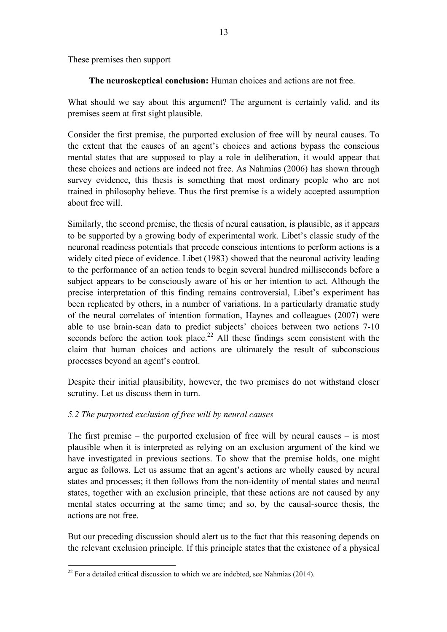These premises then support

**The neuroskeptical conclusion:** Human choices and actions are not free.

What should we say about this argument? The argument is certainly valid, and its premises seem at first sight plausible.

Consider the first premise, the purported exclusion of free will by neural causes. To the extent that the causes of an agent's choices and actions bypass the conscious mental states that are supposed to play a role in deliberation, it would appear that these choices and actions are indeed not free. As Nahmias (2006) has shown through survey evidence, this thesis is something that most ordinary people who are not trained in philosophy believe. Thus the first premise is a widely accepted assumption about free will.

Similarly, the second premise, the thesis of neural causation, is plausible, as it appears to be supported by a growing body of experimental work. Libet's classic study of the neuronal readiness potentials that precede conscious intentions to perform actions is a widely cited piece of evidence. Libet (1983) showed that the neuronal activity leading to the performance of an action tends to begin several hundred milliseconds before a subject appears to be consciously aware of his or her intention to act. Although the precise interpretation of this finding remains controversial, Libet's experiment has been replicated by others, in a number of variations. In a particularly dramatic study of the neural correlates of intention formation, Haynes and colleagues (2007) were able to use brain-scan data to predict subjects' choices between two actions 7-10 seconds before the action took place.<sup>22</sup> All these findings seem consistent with the claim that human choices and actions are ultimately the result of subconscious processes beyond an agent's control.

Despite their initial plausibility, however, the two premises do not withstand closer scrutiny. Let us discuss them in turn.

# *5.2 The purported exclusion of free will by neural causes*

The first premise – the purported exclusion of free will by neural causes – is most plausible when it is interpreted as relying on an exclusion argument of the kind we have investigated in previous sections. To show that the premise holds, one might argue as follows. Let us assume that an agent's actions are wholly caused by neural states and processes; it then follows from the non-identity of mental states and neural states, together with an exclusion principle, that these actions are not caused by any mental states occurring at the same time; and so, by the causal-source thesis, the actions are not free.

But our preceding discussion should alert us to the fact that this reasoning depends on the relevant exclusion principle. If this principle states that the existence of a physical

 $22$  For a detailed critical discussion to which we are indebted, see Nahmias (2014).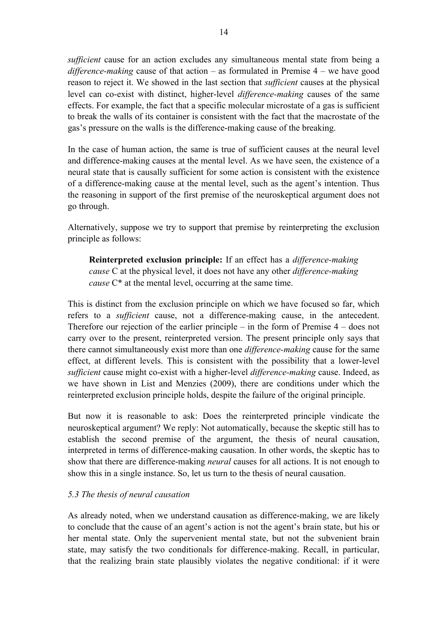*sufficient* cause for an action excludes any simultaneous mental state from being a *difference-making* cause of that action – as formulated in Premise 4 – we have good reason to reject it. We showed in the last section that *sufficient* causes at the physical level can co-exist with distinct, higher-level *difference-making* causes of the same effects. For example, the fact that a specific molecular microstate of a gas is sufficient to break the walls of its container is consistent with the fact that the macrostate of the gas's pressure on the walls is the difference-making cause of the breaking.

In the case of human action, the same is true of sufficient causes at the neural level and difference-making causes at the mental level. As we have seen, the existence of a neural state that is causally sufficient for some action is consistent with the existence of a difference-making cause at the mental level, such as the agent's intention. Thus the reasoning in support of the first premise of the neuroskeptical argument does not go through.

Alternatively, suppose we try to support that premise by reinterpreting the exclusion principle as follows:

**Reinterpreted exclusion principle:** If an effect has a *difference-making cause* C at the physical level, it does not have any other *difference-making cause* C\* at the mental level, occurring at the same time.

This is distinct from the exclusion principle on which we have focused so far, which refers to a *sufficient* cause, not a difference-making cause, in the antecedent. Therefore our rejection of the earlier principle – in the form of Premise 4 – does not carry over to the present, reinterpreted version. The present principle only says that there cannot simultaneously exist more than one *difference-making* cause for the same effect, at different levels. This is consistent with the possibility that a lower-level *sufficient* cause might co-exist with a higher-level *difference-making* cause. Indeed, as we have shown in List and Menzies (2009), there are conditions under which the reinterpreted exclusion principle holds, despite the failure of the original principle.

But now it is reasonable to ask: Does the reinterpreted principle vindicate the neuroskeptical argument? We reply: Not automatically, because the skeptic still has to establish the second premise of the argument, the thesis of neural causation, interpreted in terms of difference-making causation. In other words, the skeptic has to show that there are difference-making *neural* causes for all actions. It is not enough to show this in a single instance. So, let us turn to the thesis of neural causation.

### *5.3 The thesis of neural causation*

As already noted, when we understand causation as difference-making, we are likely to conclude that the cause of an agent's action is not the agent's brain state, but his or her mental state. Only the supervenient mental state, but not the subvenient brain state, may satisfy the two conditionals for difference-making. Recall, in particular, that the realizing brain state plausibly violates the negative conditional: if it were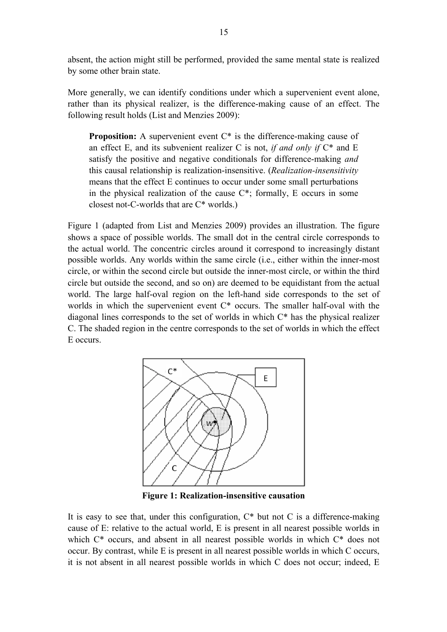absent, the action might still be performed, provided the same mental state is realized by some other brain state.

More generally, we can identify conditions under which a supervenient event alone, rather than its physical realizer, is the difference-making cause of an effect. The following result holds (List and Menzies 2009):

**Proposition:** A supervenient event  $C^*$  is the difference-making cause of an effect E, and its subvenient realizer C is not, *if and only if* C\* and E satisfy the positive and negative conditionals for difference-making *and* this causal relationship is realization-insensitive. (*Realization-insensitivity* means that the effect E continues to occur under some small perturbations in the physical realization of the cause  $C^*$ ; formally, E occurs in some closest not-C-worlds that are C\* worlds.)

Figure 1 (adapted from List and Menzies 2009) provides an illustration. The figure shows a space of possible worlds. The small dot in the central circle corresponds to the actual world. The concentric circles around it correspond to increasingly distant possible worlds. Any worlds within the same circle (i.e., either within the inner-most circle, or within the second circle but outside the inner-most circle, or within the third circle but outside the second, and so on) are deemed to be equidistant from the actual world. The large half-oval region on the left-hand side corresponds to the set of worlds in which the supervenient event C\* occurs. The smaller half-oval with the diagonal lines corresponds to the set of worlds in which C\* has the physical realizer C. The shaded region in the centre corresponds to the set of worlds in which the effect E occurs.



**Figure 1: Realization-insensitive causation**

It is easy to see that, under this configuration,  $C^*$  but not C is a difference-making cause of E: relative to the actual world, E is present in all nearest possible worlds in which  $C^*$  occurs, and absent in all nearest possible worlds in which  $C^*$  does not occur. By contrast, while E is present in all nearest possible worlds in which C occurs, it is not absent in all nearest possible worlds in which C does not occur; indeed, E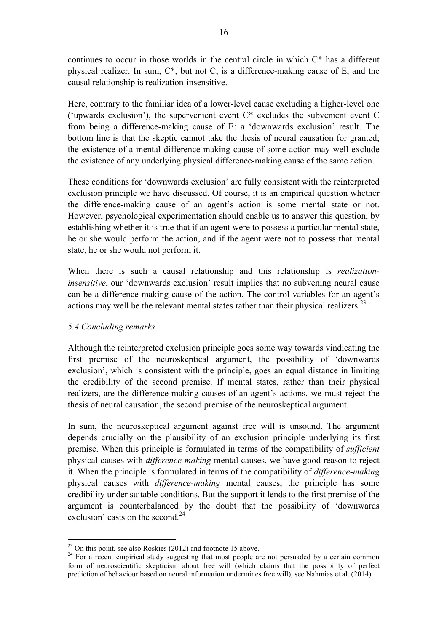continues to occur in those worlds in the central circle in which C\* has a different physical realizer. In sum, C\*, but not C, is a difference-making cause of E, and the causal relationship is realization-insensitive.

Here, contrary to the familiar idea of a lower-level cause excluding a higher-level one ('upwards exclusion'), the supervenient event C\* excludes the subvenient event C from being a difference-making cause of E: a 'downwards exclusion' result. The bottom line is that the skeptic cannot take the thesis of neural causation for granted; the existence of a mental difference-making cause of some action may well exclude the existence of any underlying physical difference-making cause of the same action.

These conditions for 'downwards exclusion' are fully consistent with the reinterpreted exclusion principle we have discussed. Of course, it is an empirical question whether the difference-making cause of an agent's action is some mental state or not. However, psychological experimentation should enable us to answer this question, by establishing whether it is true that if an agent were to possess a particular mental state, he or she would perform the action, and if the agent were not to possess that mental state, he or she would not perform it.

When there is such a causal relationship and this relationship is *realizationinsensitive*, our 'downwards exclusion' result implies that no subvening neural cause can be a difference-making cause of the action. The control variables for an agent's actions may well be the relevant mental states rather than their physical realizers.<sup>23</sup>

# *5.4 Concluding remarks*

Although the reinterpreted exclusion principle goes some way towards vindicating the first premise of the neuroskeptical argument, the possibility of 'downwards exclusion', which is consistent with the principle, goes an equal distance in limiting the credibility of the second premise. If mental states, rather than their physical realizers, are the difference-making causes of an agent's actions, we must reject the thesis of neural causation, the second premise of the neuroskeptical argument.

In sum, the neuroskeptical argument against free will is unsound. The argument depends crucially on the plausibility of an exclusion principle underlying its first premise. When this principle is formulated in terms of the compatibility of *sufficient* physical causes with *difference-making* mental causes, we have good reason to reject it. When the principle is formulated in terms of the compatibility of *difference-making* physical causes with *difference-making* mental causes, the principle has some credibility under suitable conditions. But the support it lends to the first premise of the argument is counterbalanced by the doubt that the possibility of 'downwards exclusion' casts on the second.<sup>24</sup>

<sup>&</sup>lt;sup>23</sup> On this point, see also Roskies (2012) and footnote 15 above.<br><sup>24</sup> For a recent empirical study suggesting that most people are not persuaded by a certain common form of neuroscientific skepticism about free will (which claims that the possibility of perfect prediction of behaviour based on neural information undermines free will), see Nahmias et al. (2014).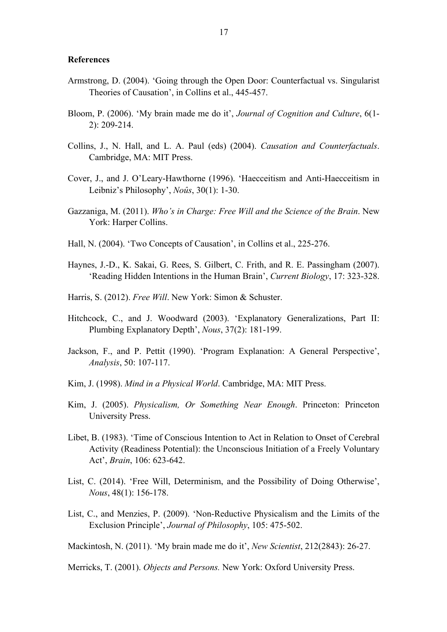#### **References**

- Armstrong, D. (2004). 'Going through the Open Door: Counterfactual vs. Singularist Theories of Causation', in Collins et al., 445-457.
- Bloom, P. (2006). 'My brain made me do it', *Journal of Cognition and Culture*, 6(1- 2): 209-214.
- Collins, J., N. Hall, and L. A. Paul (eds) (2004). *Causation and Counterfactuals*. Cambridge, MA: MIT Press.
- Cover, J., and J. O'Leary-Hawthorne (1996). 'Haecceitism and Anti-Haecceitism in Leibniz's Philosophy', *Noûs*, 30(1): 1-30.
- Gazzaniga, M. (2011). *Who's in Charge: Free Will and the Science of the Brain*. New York: Harper Collins.
- Hall, N. (2004). 'Two Concepts of Causation', in Collins et al., 225-276.
- Haynes, J.-D., K. Sakai, G. Rees, S. Gilbert, C. Frith, and R. E. Passingham (2007). 'Reading Hidden Intentions in the Human Brain', *Current Biology*, 17: 323-328.
- Harris, S. (2012). *Free Will*. New York: Simon & Schuster.
- Hitchcock, C., and J. Woodward (2003). 'Explanatory Generalizations, Part II: Plumbing Explanatory Depth', *Nous*, 37(2): 181-199.
- Jackson, F., and P. Pettit (1990). 'Program Explanation: A General Perspective', *Analysis*, 50: 107-117.
- Kim, J. (1998). *Mind in a Physical World*. Cambridge, MA: MIT Press.
- Kim, J. (2005). *Physicalism, Or Something Near Enough*. Princeton: Princeton University Press.
- Libet, B. (1983). 'Time of Conscious Intention to Act in Relation to Onset of Cerebral Activity (Readiness Potential): the Unconscious Initiation of a Freely Voluntary Act', *Brain*, 106: 623-642.
- List, C. (2014). 'Free Will, Determinism, and the Possibility of Doing Otherwise', *Nous*, 48(1): 156-178.
- List, C., and Menzies, P. (2009). 'Non-Reductive Physicalism and the Limits of the Exclusion Principle', *Journal of Philosophy*, 105: 475-502.

Mackintosh, N. (2011). 'My brain made me do it', *New Scientist*, 212(2843): 26-27.

Merricks, T. (2001). *Objects and Persons.* New York: Oxford University Press.